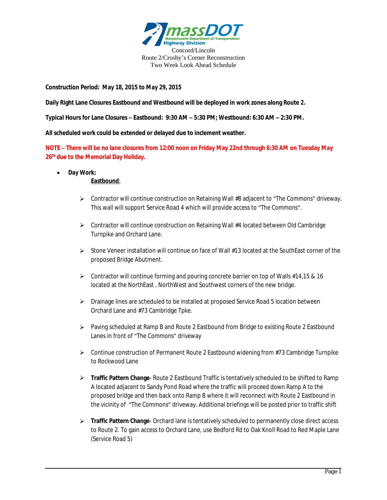

**Construction Period: May 18, 2015 to May 29, 2015**

**Daily Right Lane Closures Eastbound and Westbound will be deployed in work zones along Route 2.**

**Typical Hours for Lane Closures – Eastbound: 9:30 AM – 5:30 PM; Westbound: 6:30 AM – 2:30 PM.**

**All scheduled work could be extended or delayed due to inclement weather.**

**NOTE – There will be no lane closures from 12:00 noon on Friday May 22nd through 6:30 AM on Tuesday May 26 th due to the Memorial Day Holiday.**

**Day Work:**

## **Eastbound**:

- Contractor will continue construction on Retaining Wall #8 adjacent to "The Commons" driveway. This wall will support Service Road 4 which will provide access to "The Commons".
- Contractor will continue construction on Retaining Wall #4 located between Old Cambridge Turnpike and Orchard Lane.
- $\triangleright$  Stone Veneer installation will continue on face of Wall #13 located at the SouthEast corner of the proposed Bridge Abutment.
- $\triangleright$  Contractor will continue forming and pouring concrete barrier on top of Walls #14,15 & 16 located at the NorthEast , NorthWest and Southwest corners of the new bridge.
- > Drainage lines are scheduled to be installed at proposed Service Road 5 location between Orchard Lane and #73 Cambridge Tpke.
- $\triangleright$  Paving scheduled at Ramp B and Route 2 Eastbound from Bridge to existing Route 2 Eastbound Lanes in front of "The Commons" driveway
- $\triangleright$  Continue construction of Permanent Route 2 Eastbound widening from #73 Cambridge Turnpike to Rockwood Lane
- **Traffic Pattern Change** Route 2 Eastbound Traffic is tentatively scheduled to be shifted to Ramp A located adjacent to Sandy Pond Road where the traffic will proceed down Ramp A to the proposed bridge and then back onto Ramp B where it will reconnect with Route 2 Eastbound in the vicinity of "The Commons" driveway. Additional briefings will be posted prior to traffic shift
- **Traffic Pattern Change** Orchard lane is tentatively scheduled to permanently close direct access to Route 2. To gain access to Orchard Lane, use Bedford Rd to Oak Knoll Road to Red Maple Lane (Service Road 5)